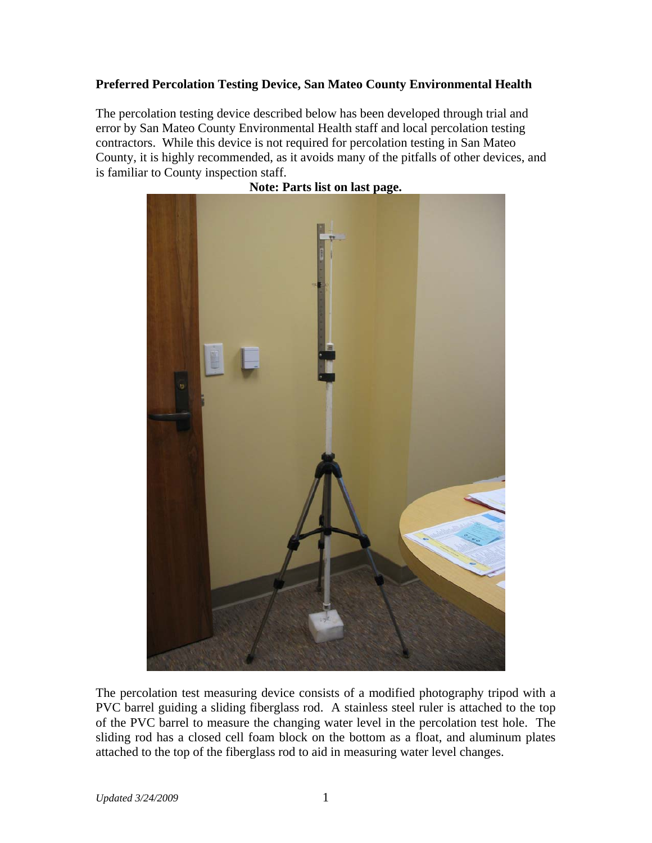## **Preferred Percolation Testing Device, San Mateo County Environmental Health**

The percolation testing device described below has been developed through trial and error by San Mateo County Environmental Health staff and local percolation testing contractors. While this device is not required for percolation testing in San Mateo County, it is highly recommended, as it avoids many of the pitfalls of other devices, and is familiar to County inspection staff.



**Note: Parts list on last page.** 

The percolation test measuring device consists of a modified photography tripod with a PVC barrel guiding a sliding fiberglass rod. A stainless steel ruler is attached to the top of the PVC barrel to measure the changing water level in the percolation test hole. The sliding rod has a closed cell foam block on the bottom as a float, and aluminum plates attached to the top of the fiberglass rod to aid in measuring water level changes.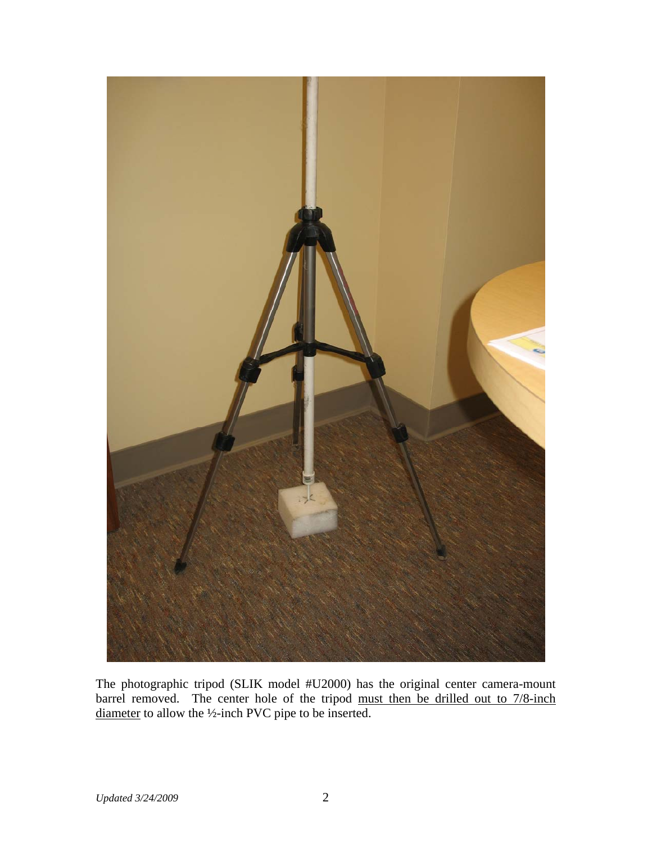

The photographic tripod (SLIK model #U2000) has the original center camera-mount barrel removed. The center hole of the tripod must then be drilled out to 7/8-inch diameter to allow the ½-inch PVC pipe to be inserted.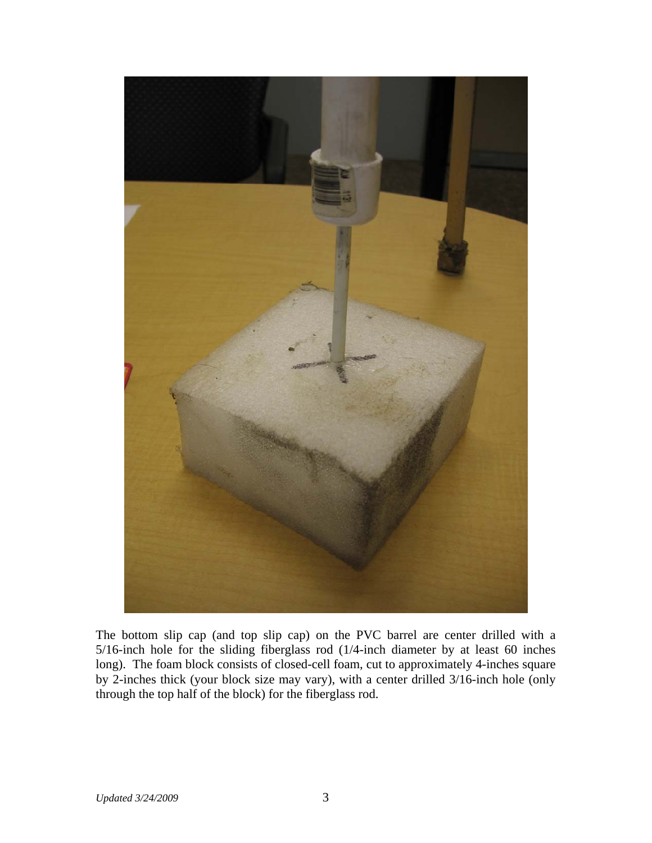

The bottom slip cap (and top slip cap) on the PVC barrel are center drilled with a 5/16-inch hole for the sliding fiberglass rod (1/4-inch diameter by at least 60 inches long). The foam block consists of closed-cell foam, cut to approximately 4-inches square by 2-inches thick (your block size may vary), with a center drilled 3/16-inch hole (only through the top half of the block) for the fiberglass rod.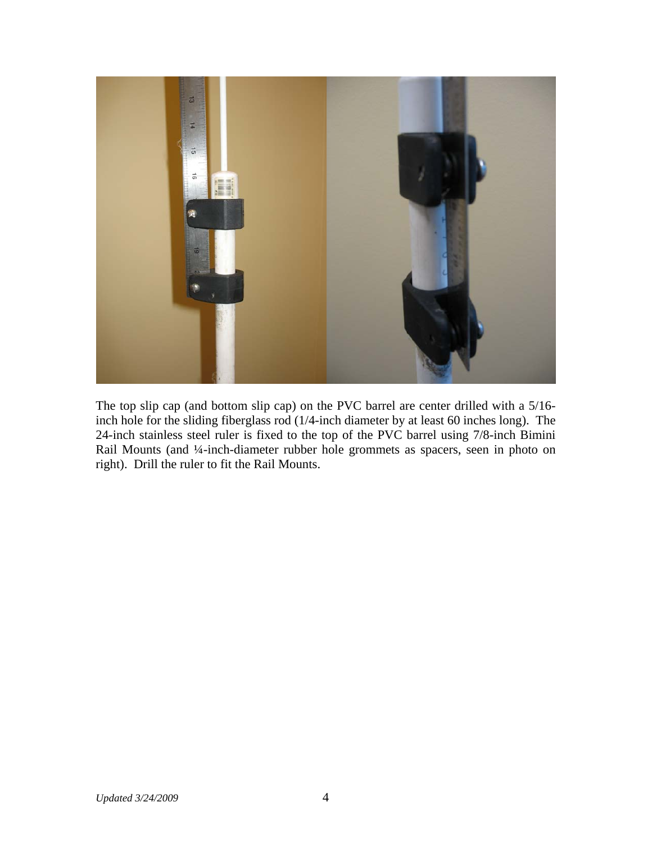

The top slip cap (and bottom slip cap) on the PVC barrel are center drilled with a 5/16 inch hole for the sliding fiberglass rod (1/4-inch diameter by at least 60 inches long). The 24-inch stainless steel ruler is fixed to the top of the PVC barrel using 7/8-inch Bimini Rail Mounts (and ¼-inch-diameter rubber hole grommets as spacers, seen in photo on right). Drill the ruler to fit the Rail Mounts.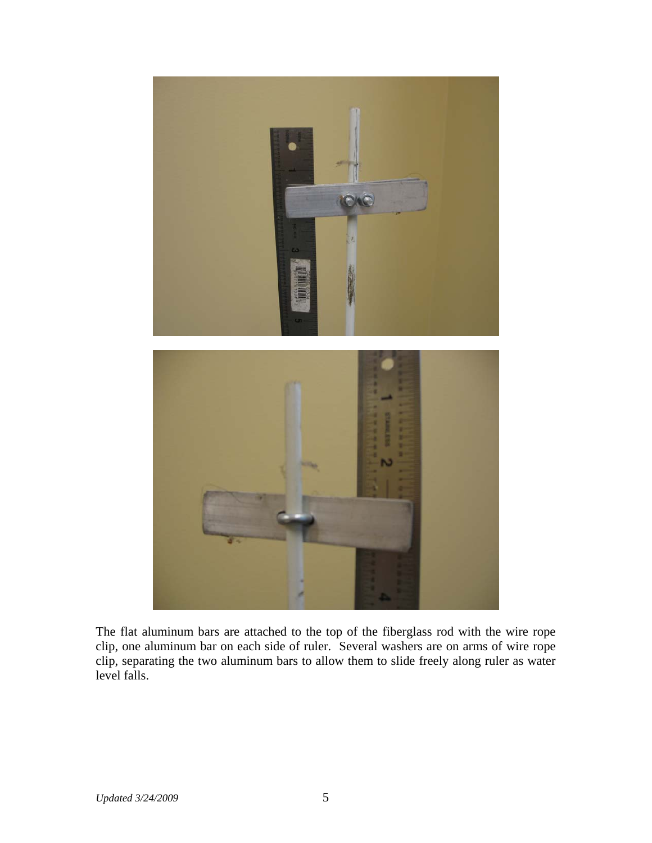

The flat aluminum bars are attached to the top of the fiberglass rod with the wire rope clip, one aluminum bar on each side of ruler. Several washers are on arms of wire rope clip, separating the two aluminum bars to allow them to slide freely along ruler as water level falls.